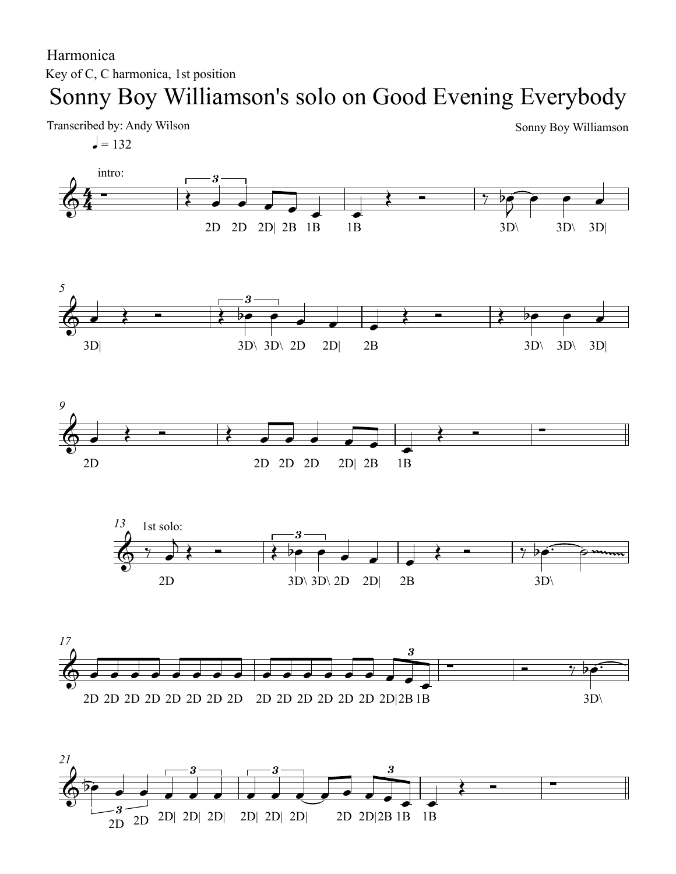Transcribed by: Andy Wilson Sonny Boy Williamson



 $\overline{\Phi}$  $\begin{array}{c} -3 \ \hline 2D \ 2D \end{array}$  2D| 2D| 2D|  $\overline{\phantom{a}}$  $\frac{1}{\cdot}$  $\overline{\phantom{a}}$  $\overline{\phantom{a}}$  $\overline{\phantom{a}}$ 2D| 2D| 2D|  $\overline{\phantom{a}}$  $\overline{\phantom{a}}$  2D 2D| 2B 1B 1B  $\overline{\cdot}$  $\overrightarrow{a}$  $\overrightarrow{3}$